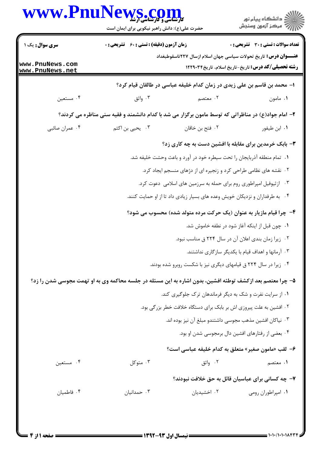| www.PnuNews.com                    | حضرت علی(ع): دانش راهبر نیکویی برای ایمان است                                                             |                                                                             | ڪ دانشڪاه پيا <sub>م</sub> نور<br>∕ مرڪز آزمون وسنڊش      |  |
|------------------------------------|-----------------------------------------------------------------------------------------------------------|-----------------------------------------------------------------------------|-----------------------------------------------------------|--|
| <b>سری سوال :</b> یک ۱             | <b>زمان آزمون (دقیقه) : تستی : 60 ٪ تشریحی : 0</b>                                                        | <b>تعداد سوالات : تستی : 30 ٪ تشریحی : 0</b>                                |                                                           |  |
| www.PnuNews.com<br>www.PnuNews.net |                                                                                                           | <b>عنــــوان درس:</b> تاریخ تحولات سیاسی جهان اسلام ازسال ۲۲۷تاسقوطبغداد    | <b>رشته تحصیلی/کد درس:</b> تاریخ-تاریخ اسلام، تاریخ۲۲۹۰۳۴ |  |
|                                    |                                                                                                           | ا– محمد بن قاسم بن علی زیدی در زمان کدام خلیفه عباسی در طالقان قیام کرد؟    |                                                           |  |
| ۰۴ مستعین                          | ۰۳ واثق                                                                                                   | ۲. معتصم                                                                    | ۰۱ مامون                                                  |  |
|                                    | ۲- امام جواد(ع) در مناظراتی که توسط مامون برگزار می شد با کدام دانشمند و فقیه سنی مناظره می کردند؟        |                                                                             |                                                           |  |
| ۰۴ عمران صائبي                     | ۰۳ یحیی بن اکثم                                                                                           | ٠٢ فتح بن خاقان                                                             | ٠١. ابن طيفور                                             |  |
|                                    |                                                                                                           | ۳- بابک خرمدین برای مقابله با افشین دست به چه کاری زد؟                      |                                                           |  |
|                                    |                                                                                                           | ١.  تمام منطقه آذربايجان را تحت سيطره خود در آورد و باعث وحشت خليفه شد.     |                                                           |  |
|                                    |                                                                                                           | ۰۲ نقشه های نظامی طراحی کرد و زنجیره ای از دژهای منسجم ایجاد کرد.           |                                                           |  |
|                                    |                                                                                                           | ۰۳ از ثیوفیل امپراطوری روم برای حمله به سرزمین های اسلامی  دعوت کرد.        |                                                           |  |
|                                    |                                                                                                           | ۰۴ به طرفداران و نزدیکان خویش وعده های بسیار زیادی داد تا از او حمایت کنند. |                                                           |  |
|                                    | ۴- چرا قیام مازیار به عنوان (یک حرکت مرده متولد شده) محسوب می شود؟                                        |                                                                             |                                                           |  |
|                                    | ۰۱ چون قبل از اینکه آغاز شود در نطفه خاموش شد.                                                            |                                                                             |                                                           |  |
|                                    |                                                                                                           | ٠٢ زيرا زمان بندى اعلان آن در سال ٢٢۴ ق مناسب نبود.                         |                                                           |  |
|                                    |                                                                                                           |                                                                             | ۰۳ آرمانها و اهداف قیام با یکدیگر سازگاری نداشتند.        |  |
|                                    |                                                                                                           | ۰۴ زیرا در سال ۲۲۴ ق قیامهای دیگری نیز با شکست روبرو شده بودند.             |                                                           |  |
|                                    | ۵– چرا معتصم بعد ازکشف توطئه افشین، بدون اشاره به این مسئله در جلسه محاکمه وی به او تهمت مجوسی شدن را زد؟ |                                                                             |                                                           |  |
|                                    |                                                                                                           | ۰۱ از سرایت نفرت و شک به دیگر فرماندهان ترک جلوگیری کند.                    |                                                           |  |
|                                    |                                                                                                           | ۰۲ افشین به علت پیروزی اش بر بابک برای دستگاه خلافت خطر بزرگی بود.          |                                                           |  |
|                                    | ٠٣ نياكان افشين مذهب مجوسى داشتندو مبلغ آن نيز بوده اند.                                                  |                                                                             |                                                           |  |
|                                    | ۰۴ بعضی از رفتارهای افشین دال برمجوسی شدن او بود.                                                         |                                                                             |                                                           |  |
|                                    | ۶– لقب «مامون صغير» متعلق به كدام خليفه عباسي است؟                                                        |                                                                             |                                                           |  |
| ۰۴ مستعین                          | ۰۳ متوکل                                                                                                  | ۰۲ واثق                                                                     | ۱. معتصم                                                  |  |
|                                    |                                                                                                           | ۷- چه کسانی برای عباسیان قائل به حق خلافت نبودند؟                           |                                                           |  |
| ۰۴ فاطمیان                         | ۰۳ حمدانیان                                                                                               | ۰۲ اخشیدیان                                                                 | ٠١. امپراطوران رومي                                       |  |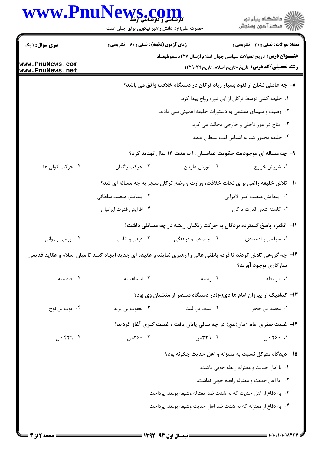|                                    | www.PnuNews.com<br>حضرت علی(ع): دانش راهبر نیکویی برای ایمان است                                                  |                                                                 | ِ<br>∭ دانشڪاه پيام نور<br>∭ مرڪز آزمون وسنڊش                                                                                          |
|------------------------------------|-------------------------------------------------------------------------------------------------------------------|-----------------------------------------------------------------|----------------------------------------------------------------------------------------------------------------------------------------|
| <b>سری سوال : ۱ یک</b>             | <b>زمان آزمون (دقیقه) : تستی : 60 ٪ تشریحی : 0</b>                                                                |                                                                 | <b>تعداد سوالات : تستی : 30 ٪ تشریحی : 0</b>                                                                                           |
| www.PnuNews.com<br>www.PnuNews.net |                                                                                                                   |                                                                 | <b>عنــــوان درس:</b> تاریخ تحولات سیاسی جهان اسلام ازسال ۲۲۷تاسقوطبغداد<br><b>رشته تحصیلی/کد درس:</b> تاریخ-تاریخ اسلام، تاریخ۱۲۲۹۰۳۴ |
|                                    |                                                                                                                   |                                                                 | ۸– چه عاملی نشان از نفوذ بسیار زیاد ترکان در دستگاه خلافت واثق می باشد؟                                                                |
|                                    |                                                                                                                   |                                                                 | ٠١. خليفه كشي توسط تركان از اين دوره رواج پيدا كرد.                                                                                    |
|                                    | ۰۲ وصیف و سیمای دمشقی به دستورات خلیفه اهمیتی نمی دادند.<br>۰۳ ایتاخ در امور داخلی و خارجی دخالت می کرد.          |                                                                 |                                                                                                                                        |
|                                    |                                                                                                                   |                                                                 |                                                                                                                                        |
|                                    |                                                                                                                   |                                                                 | ۰۴ خلیفه مجبور شد به اشناس لقب سلطان بدهد.                                                                                             |
|                                    | ۹- چه مساله ای موجودیت حکومت عباسیان را به مدت ۱۴ سال تهدید کرد؟                                                  |                                                                 |                                                                                                                                        |
| ۰۴ حرکت کولی ها                    | ۰۳ حرکت زنگیان                                                                                                    | ۰۲ شورش علويان                                                  | ۰۱ شورش خوارج                                                                                                                          |
|                                    |                                                                                                                   |                                                                 | ۱۰− تلاش خلیفه راضی برای نجات خلافت، وزارت و وضع ترکان منجر به چه مساله ای شد؟                                                         |
|                                    | ۰۲ پیدایش منصب سلطانی                                                                                             |                                                                 | ٠١ پيدايش منصب امير الامرايي                                                                                                           |
|                                    | ۰۴ افزایش قدرت ایرانیان                                                                                           |                                                                 | ۰۳ کاسته شدن قدرت ترکان                                                                                                                |
|                                    |                                                                                                                   |                                                                 | ۱۱– انگیزه پاسخ گسترده بردگان به حرکت زنگیان ریشه در چه مسائلی داشت؟                                                                   |
| ۰۴ روحي و رواني                    | ۰۳ دینی و نظامی                                                                                                   | ۰۲ اجتماعی و فرهنگی                                             | ۰۱ سیاسی و اقتصادی                                                                                                                     |
|                                    | ۱۲- چه گروهی تلاش کردند تا فرقه باطنی غالی را رهبری نمایند و عقیده ای جدید ایجاد کنند تا میان اسلام و عقاید قدیمی |                                                                 | سازگاری بوجود آورند؟                                                                                                                   |
| ۰۴ فاطميه                          | ۰۳ اسماعیلیه                                                                                                      | ۰۲ زیدیه                                                        | ۰۱ قرامطه                                                                                                                              |
|                                    |                                                                                                                   |                                                                 | ۱۳– کدامیک از پیروان امام ها دی(ع)در دستگاه منتصر از منشیان وی بود؟                                                                    |
| ۰۴ ايوب بن نوح                     | ۰۳ يعقوب بن يزيد                                                                                                  | ۰۲ سیف بن لیث                                                   | ۱. محمد بن حجر                                                                                                                         |
|                                    |                                                                                                                   |                                                                 | ۱۴- غیبت صغری امام زمان(عج) در چه سالی پایان یافت و غیبت کبری آغاز گردید؟                                                              |
| ۴. ۴۲۹ ه.ق                         | ۰۴ ج۳۶.ق                                                                                                          | ۰۲ ۲۹۹.ق                                                        | ۱. ۲۶۰ ه.ق                                                                                                                             |
|                                    |                                                                                                                   |                                                                 | ۱۵– دیدگاه متوکل نسبت به معتزله و اهل حدیث چگونه بود؟                                                                                  |
|                                    |                                                                                                                   |                                                                 | ٠١. با اهل حديث و معتزله رابطه خوبي داشت.                                                                                              |
|                                    |                                                                                                                   |                                                                 | ۰۲ با اهل حدیث و معتزله رابطه خوبی نداشت.                                                                                              |
|                                    |                                                                                                                   | ۰۳ به دفاع از اهل حدیث که به شدت ضد معتزله وشیعه بودند، پرداخت. |                                                                                                                                        |
|                                    |                                                                                                                   | ۰۴ به دفاع از معتزله که به شدت ضد اهل حدیث وشیعه بودند، پرداخت. |                                                                                                                                        |
|                                    |                                                                                                                   |                                                                 |                                                                                                                                        |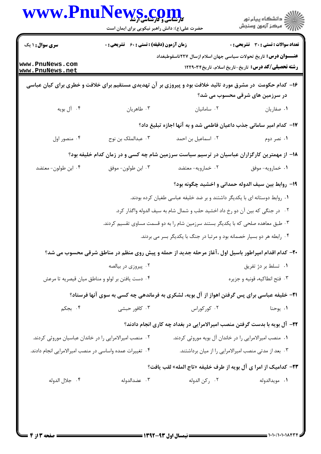| <b>سری سوال :</b> ۱ یک                                   | <b>زمان آزمون (دقیقه) : تستی : 60 ٪ تشریحی : 0</b> |                                                                                                            | <b>تعداد سوالات : تستی : 30 ٪ تشریحی : 0</b>              |
|----------------------------------------------------------|----------------------------------------------------|------------------------------------------------------------------------------------------------------------|-----------------------------------------------------------|
| www.PnuNews.com<br>www.PnuNews.net                       |                                                    | <b>عنــــوان درس:</b> تاریخ تحولات سیاسی جهان اسلام ازسال ۲۲۷تاسقوطبغداد                                   | <b>رشته تحصیلی/کد درس:</b> تاریخ-تاریخ اسلام، تاریخ۲۲۹۰۳۴ |
|                                                          |                                                    | ۱۶– کدام حکومت در مشرق مورد تائید خلافت بود و پیروزی بر آن تهدیدی مستقیم برای خلافت و خطری برای کیان عباسی | در سرزمین های شرقی محسوب می شد؟                           |
| ۰۴ آل بويه                                               | ۰۳ طاهريان                                         | ۰۲ سامانیان                                                                                                | ۰۱ صفاریان                                                |
|                                                          |                                                    | ۱۷- کدام امیر سامانی جذب داعیان فاطمی شد و به آنها اجازه تبلیغ داد؟                                        |                                                           |
| ۰۴ منصور اول                                             | ۰۳ عبدالملک بن نوح                                 | ٠٢ اسماعيل بن احمد                                                                                         | ۰۱ نصر دوم                                                |
|                                                          |                                                    | ۱۸– از مهمترین کارگزاران عباسیان در ترسیم سیاست سرزمین شام چه کسی و در زمان کدام خلیفه بود؟                |                                                           |
| ۰۴ ابن طولون- معتضد                                      | ۰۳ ابن طولون- موفق                                 | ۰۲ خمارويه-معتضد                                                                                           | ۰۱ خمارويه- موفق                                          |
|                                                          |                                                    | ۱۹- روابط بین سیف الدوله حمدانی و اخشید چگونه بود؟                                                         |                                                           |
|                                                          |                                                    | ۰۱ روابط دوستانه ای با یکدیگر داشتند و بر ضد خلیفه عباسی طغیان کرده بودند.                                 |                                                           |
|                                                          |                                                    | ۰۲ در جنگی که بین آن دو رخ داد اخشید حلب و شمال شام به سیف الدوله واگذار کرد.                              |                                                           |
|                                                          |                                                    | ۰۳ طبق معاهده صلحی که با یکدیگر بستند سرزمین شام را به دو قسمت مساوی تقسیم کردند.                          |                                                           |
|                                                          |                                                    | ۰۴ رابطه هر دو بسیار خصمانه بود و مرتبا در جنگ با یکدیگر بسر می بردند.                                     |                                                           |
|                                                          |                                                    | +۲- کدام اقدام امپراطور باسیل اول ،آغاز مرحله جدید از حمله و پیش روی منظم در مناطق شرقی محسوب می شد؟       |                                                           |
|                                                          | ۰۲ پیروزی در بیالصه                                |                                                                                                            | ۰۱ تسلط بر دژ تفریق                                       |
|                                                          | ۰۴ دست یافتن بر لولو و مناطق میان قیصریه تا مرعش   |                                                                                                            | ۰۳ فتح انطاكيه، قونيه و جزيره                             |
|                                                          |                                                    | <b>۲۱</b> - خلیفه عباسی برای پس گرفتن اهواز از آل بویه، لشکری به فرماندهی چه کسی به سوی آنها فرستاد؟       |                                                           |
| ۰۴ بجکم                                                  | ۰۳ کافور حبشی                                      | ۰۲ کورکوراس                                                                                                | ۰۱ یوحنا                                                  |
|                                                          |                                                    | ۲۲- آل بویه با بدست گرفتن منصب امیرالامرایی در بغداد چه کاری انجام دادند؟                                  |                                                           |
| ۰۲ منصب امیرالامرایی را در خاندان عباسیان موروثی کردند.  |                                                    | ۰۱ منصب امیرالامرایی را در خاندان آل بویه موروثی کردند.                                                    |                                                           |
| ۰۴ تغییرات عمده واساسی در منصب امیرالامرایی انجام دادند. |                                                    | ۰۳ بعد از مدتی منصب امیرالامرایی را از میان برداشتند.                                                      |                                                           |
|                                                          |                                                    | ٢٣- كداميك از امرا ي آل بويه از طرف خليفه «تاج المله» لقب يافت؟                                            |                                                           |
| ۰۴ جلال الدوله                                           | ۰۳ عضدالدوله                                       | ٠٢ ركن الدوله                                                                                              | ٠١. مويدالدوله                                            |